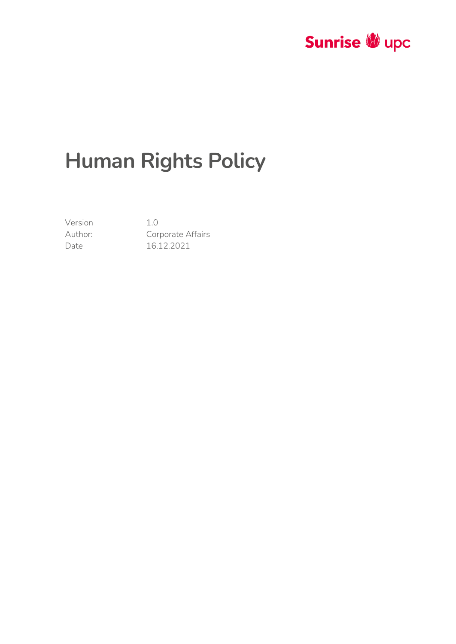

# **Human Rights Policy**

Version 1.0

Author: Corporate Affairs Date 16.12.2021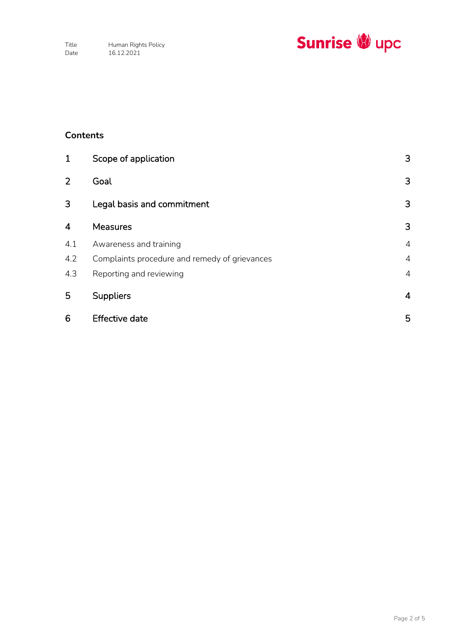

## **Contents**

| $\mathbf{1}$   | Scope of application                          | 3              |
|----------------|-----------------------------------------------|----------------|
| $\overline{2}$ | Goal                                          | 3              |
| 3              | Legal basis and commitment                    | 3              |
| 4              | <b>Measures</b>                               | 3              |
| 4.1            | Awareness and training                        | $\overline{4}$ |
| 4.2            | Complaints procedure and remedy of grievances | $\overline{4}$ |
| 4.3            | Reporting and reviewing                       | $\overline{4}$ |
| 5              | <b>Suppliers</b>                              | $\overline{4}$ |
| 6              | <b>Effective date</b>                         | 5              |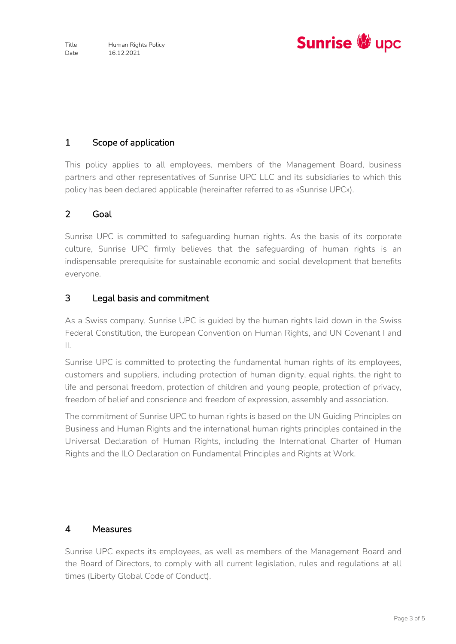

### <span id="page-2-0"></span>1 Scope of application

This policy applies to all employees, members of the Management Board, business partners and other representatives of Sunrise UPC LLC and its subsidiaries to which this policy has been declared applicable (hereinafter referred to as «Sunrise UPC»).

## <span id="page-2-1"></span>2 Goal

Sunrise UPC is committed to safeguarding human rights. As the basis of its corporate culture, Sunrise UPC firmly believes that the safeguarding of human rights is an indispensable prerequisite for sustainable economic and social development that benefits everyone.

#### <span id="page-2-2"></span>3 Legal basis and commitment

As a Swiss company, Sunrise UPC is guided by the human rights laid down in the Swiss Federal Constitution, the European Convention on Human Rights, and UN Covenant I and II.

Sunrise UPC is committed to protecting the fundamental human rights of its employees, customers and suppliers, including protection of human dignity, equal rights, the right to life and personal freedom, protection of children and young people, protection of privacy, freedom of belief and conscience and freedom of expression, assembly and association.

The commitment of Sunrise UPC to human rights is based on the UN Guiding Principles on Business and Human Rights and the international human rights principles contained in the Universal Declaration of Human Rights, including the International Charter of Human Rights and the ILO Declaration on Fundamental Principles and Rights at Work.

#### <span id="page-2-3"></span>4 Measures

Sunrise UPC expects its employees, as well as members of the Management Board and the Board of Directors, to comply with all current legislation, rules and regulations at all times (Liberty Global Code of Conduct).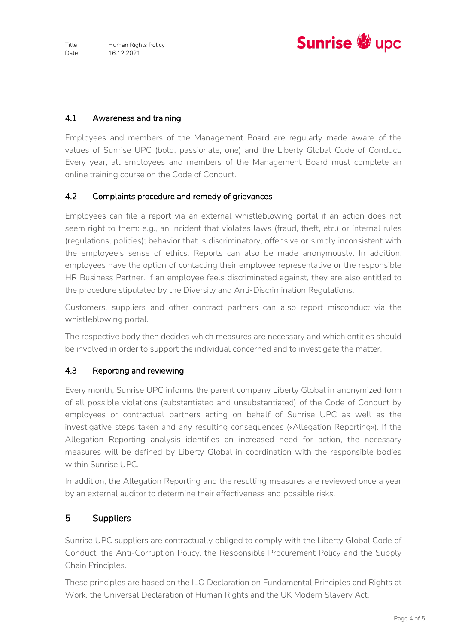

#### <span id="page-3-0"></span>4.1 Awareness and training

Employees and members of the Management Board are regularly made aware of the values of Sunrise UPC (bold, passionate, one) and the Liberty Global Code of Conduct. Every year, all employees and members of the Management Board must complete an online training course on the Code of Conduct.

#### <span id="page-3-1"></span>4.2 Complaints procedure and remedy of grievances

Employees can file a report via an external whistleblowing portal if an action does not seem right to them: e.g., an incident that violates laws (fraud, theft, etc.) or internal rules (regulations, policies); behavior that is discriminatory, offensive or simply inconsistent with the employee's sense of ethics. Reports can also be made anonymously. In addition, employees have the option of contacting their employee representative or the responsible HR Business Partner. If an employee feels discriminated against, they are also entitled to the procedure stipulated by the Diversity and Anti-Discrimination Regulations.

Customers, suppliers and other contract partners can also report misconduct via the whistleblowing portal.

The respective body then decides which measures are necessary and which entities should be involved in order to support the individual concerned and to investigate the matter.

#### <span id="page-3-2"></span>4.3 Reporting and reviewing

Every month, Sunrise UPC informs the parent company Liberty Global in anonymized form of all possible violations (substantiated and unsubstantiated) of the Code of Conduct by employees or contractual partners acting on behalf of Sunrise UPC as well as the investigative steps taken and any resulting consequences («Allegation Reporting»). If the Allegation Reporting analysis identifies an increased need for action, the necessary measures will be defined by Liberty Global in coordination with the responsible bodies within Sunrise UPC.

In addition, the Allegation Reporting and the resulting measures are reviewed once a year by an external auditor to determine their effectiveness and possible risks.

#### <span id="page-3-3"></span>5 Suppliers

Sunrise UPC suppliers are contractually obliged to comply with the Liberty Global Code of Conduct, the Anti-Corruption Policy, the Responsible Procurement Policy and the Supply Chain Principles.

These principles are based on the ILO Declaration on Fundamental Principles and Rights at Work, the Universal Declaration of Human Rights and the UK Modern Slavery Act.